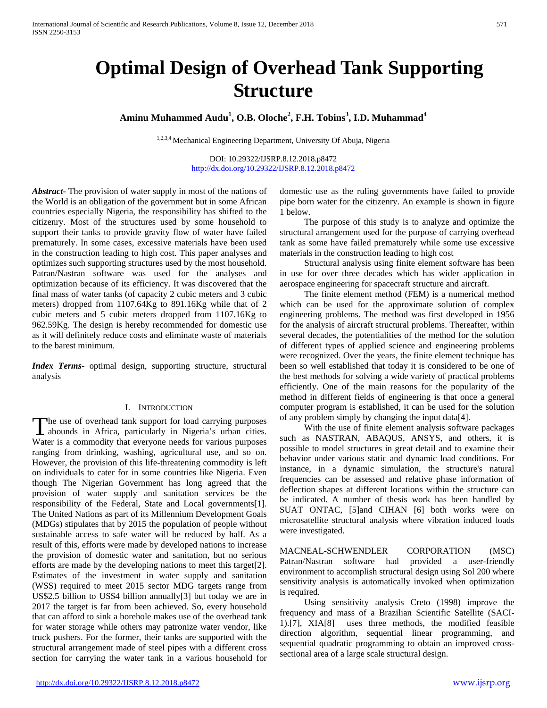# **Optimal Design of Overhead Tank Supporting Structure**

**Aminu Muhammed Audu<sup>1</sup> , O.B. Oloche2 , F.H. Tobins<sup>3</sup> , I.D. Muhammad<sup>4</sup>**

1,2,3,4 Mechanical Engineering Department, University Of Abuja, Nigeria

DOI: 10.29322/IJSRP.8.12.2018.p8472 <http://dx.doi.org/10.29322/IJSRP.8.12.2018.p8472>

*Abstract***-** The provision of water supply in most of the nations of the World is an obligation of the government but in some African countries especially Nigeria, the responsibility has shifted to the citizenry. Most of the structures used by some household to support their tanks to provide gravity flow of water have failed prematurely. In some cases, excessive materials have been used in the construction leading to high cost. This paper analyses and optimizes such supporting structures used by the most household. Patran/Nastran software was used for the analyses and optimization because of its efficiency. It was discovered that the final mass of water tanks (of capacity 2 cubic meters and 3 cubic meters) dropped from 1107.64Kg to 891.16Kg while that of 2 cubic meters and 5 cubic meters dropped from 1107.16Kg to 962.59Kg. The design is hereby recommended for domestic use as it will definitely reduce costs and eliminate waste of materials to the barest minimum.

*Index Terms*- optimal design, supporting structure, structural analysis

#### I. INTRODUCTION

he use of overhead tank support for load carrying purposes The use of overhead tank support for load carrying purposes<br>abounds in Africa, particularly in Nigeria's urban cities. Water is a commodity that everyone needs for various purposes ranging from drinking, washing, agricultural use, and so on. However, the provision of this life-threatening commodity is left on individuals to cater for in some countries like Nigeria. Even though The Nigerian Government has long agreed that the provision of water supply and sanitation services be the responsibility of the Federal, State and Local governments[1]. The United Nations as part of its Millennium Development Goals (MDGs) stipulates that by 2015 the population of people without sustainable access to safe water will be reduced by half. As a result of this, efforts were made by developed nations to increase the provision of domestic water and sanitation, but no serious efforts are made by the developing nations to meet this target[2]. Estimates of the investment in water supply and sanitation (WSS) required to meet 2015 sector MDG targets range from US\$2.5 billion to US\$4 billion annually[3] but today we are in 2017 the target is far from been achieved. So, every household that can afford to sink a borehole makes use of the overhead tank for water storage while others may patronize water vendor, like truck pushers. For the former, their tanks are supported with the structural arrangement made of steel pipes with a different cross section for carrying the water tank in a various household for

domestic use as the ruling governments have failed to provide pipe born water for the citizenry. An example is shown in figure 1 below.

 The purpose of this study is to analyze and optimize the structural arrangement used for the purpose of carrying overhead tank as some have failed prematurely while some use excessive materials in the construction leading to high cost

 Structural analysis using finite element software has been in use for over three decades which has wider application in aerospace engineering for spacecraft structure and aircraft.

 The finite element method (FEM) is a numerical method which can be used for the approximate solution of complex engineering problems. The method was first developed in 1956 for the analysis of aircraft structural problems. Thereafter, within several decades, the potentialities of the method for the solution of different types of applied science and engineering problems were recognized. Over the years, the finite element technique has been so well established that today it is considered to be one of the best methods for solving a wide variety of practical problems efficiently. One of the main reasons for the popularity of the method in different fields of engineering is that once a general computer program is established, it can be used for the solution of any problem simply by changing the input data[4].

 With the use of finite element analysis software packages such as NASTRAN, ABAQUS, ANSYS, and others, it is possible to model structures in great detail and to examine their behavior under various static and dynamic load conditions. For instance, in a dynamic simulation, the structure's natural frequencies can be assessed and relative phase information of deflection shapes at different locations within the structure can be indicated. A number of thesis work has been handled by SUAT ONTAC, [5]and CIHAN [6] both works were on microsatellite structural analysis where vibration induced loads were investigated.

MACNEAL-SCHWENDLER CORPORATION (MSC) Patran/Nastran software had provided a user-friendly environment to accomplish structural design using Sol 200 where sensitivity analysis is automatically invoked when optimization is required.

 Using sensitivity analysis Creto (1998) improve the frequency and mass of a Brazilian Scientific Satellite (SACI-1).[7], XIA[8]uses three methods, the modified feasible direction algorithm, sequential linear programming, and sequential quadratic programming to obtain an improved crosssectional area of a large scale structural design.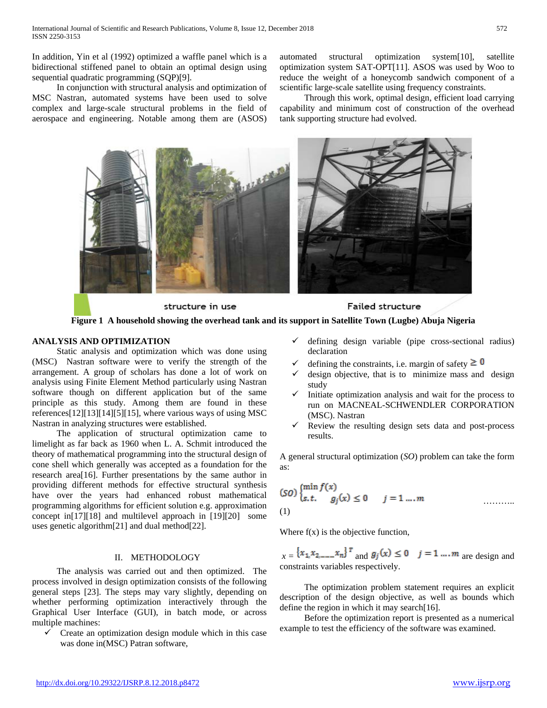In addition, Yin et al (1992) optimized a waffle panel which is a bidirectional stiffened panel to obtain an optimal design using sequential quadratic programming (SQP)[9].

 In conjunction with structural analysis and optimization of MSC Nastran, automated systems have been used to solve complex and large-scale structural problems in the field of aerospace and engineering. Notable among them are (ASOS) automated structural optimization system[10], satellite optimization system SAT-OPT[11]. ASOS was used by Woo to reduce the weight of a honeycomb sandwich component of a scientific large-scale satellite using frequency constraints.

 Through this work, optimal design, efficient load carrying capability and minimum cost of construction of the overhead tank supporting structure had evolved.



structure in use

**Failed structure** 

#### **Figure 1 A household showing the overhead tank and its support in Satellite Town (Lugbe) Abuja Nigeria**

## **ANALYSIS AND OPTIMIZATION**

 Static analysis and optimization which was done using (MSC) Nastran software were to verify the strength of the arrangement. A group of scholars has done a lot of work on analysis using Finite Element Method particularly using Nastran software though on different application but of the same principle as this study. Among them are found in these references[12][13][14][5][15], where various ways of using MSC Nastran in analyzing structures were established.

 The application of structural optimization came to limelight as far back as 1960 when L. A. Schmit introduced the theory of mathematical programming into the structural design of cone shell which generally was accepted as a foundation for the research area[16]. Further presentations by the same author in providing different methods for effective structural synthesis have over the years had enhanced robust mathematical programming algorithms for efficient solution e.g. approximation concept in[17][18] and multilevel approach in [19][20] some uses genetic algorithm[21] and dual method[22].

### II. METHODOLOGY

 The analysis was carried out and then optimized. The process involved in design optimization consists of the following general steps [23]. The steps may vary slightly, depending on whether performing optimization interactively through the Graphical User Interface (GUI), in batch mode, or across multiple machines:

 $\checkmark$  Create an optimization design module which in this case was done in(MSC) Patran software,

- $\checkmark$  defining design variable (pipe cross-sectional radius) declaration
- $\vee$  defining the constraints, i.e. margin of safety  $\geq 0$
- design objective, that is to minimize mass and design study
- $\checkmark$  Initiate optimization analysis and wait for the process to run on MACNEAL-SCHWENDLER CORPORATION (MSC). Nastran
- $\checkmark$  Review the resulting design sets data and post-process results.

A general structural optimization (*SO*) problem can take the form as:

$$
\text{(SO)}\begin{cases} \min f(x) \\ \text{s.t.} \quad g_j(x) \le 0 \quad j = 1 \dots m \end{cases} \qquad \qquad \dots \dots \dots \dots \dots \dots
$$
\n(1)

Where  $f(x)$  is the objective function,

 $x = \{x_{1}, x_{2,...,x_{n}}\}^{T}$  and  $g_{j}(x) \le 0$   $j = 1,...,m$  are design and constraints variables respectively.

 The optimization problem statement requires an explicit description of the design objective, as well as bounds which define the region in which it may search[16].

 Before the optimization report is presented as a numerical example to test the efficiency of the software was examined.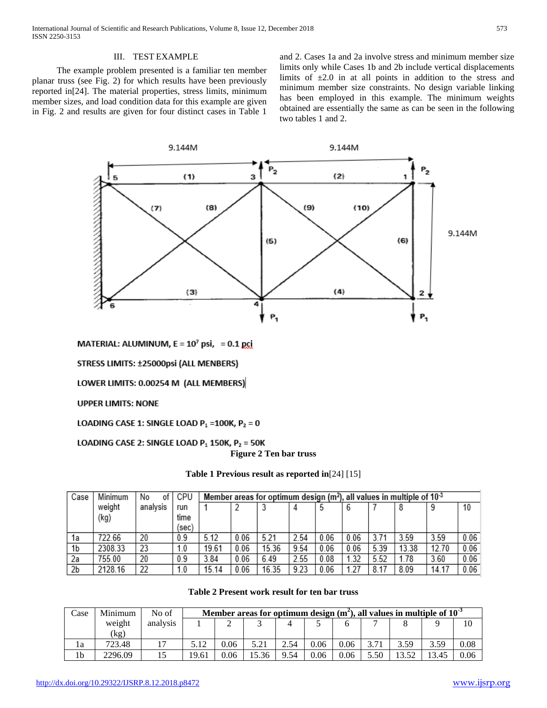#### III. TEST EXAMPLE

 The example problem presented is a familiar ten member planar truss (see Fig. 2) for which results have been previously reported in[24]. The material properties, stress limits, minimum member sizes, and load condition data for this example are given in Fig. 2 and results are given for four distinct cases in Table 1

and 2. Cases 1a and 2a involve stress and minimum member size limits only while Cases 1b and 2b include vertical displacements limits of  $\pm 2.0$  in at all points in addition to the stress and minimum member size constraints. No design variable linking has been employed in this example. The minimum weights obtained are essentially the same as can be seen in the following two tables 1 and 2.



MATERIAL: ALUMINUM,  $E = 10^7$  psi, = 0.1 pci

STRESS LIMITS: ±25000psi (ALL MENBERS)

LOWER LIMITS: 0.00254 M (ALL MEMBERS)

**UPPER LIMITS: NONE** 

LOADING CASE 1: SINGLE LOAD  $P_1 = 100K$ ,  $P_2 = 0$ 

## LOADING CASE 2: SINGLE LOAD  $P_1$  150K,  $P_2$  = 50K

**Figure 2 Ten bar truss**

| Table 1 Previous result as reported in[24] [15] |  |  |  |
|-------------------------------------------------|--|--|--|
|-------------------------------------------------|--|--|--|

| Case | Minimum | No<br>οf | CPU   | Member areas for optimum design ( $m2$ ), all values in multiple of 10 <sup>-3</sup> |      |       |      |      |      |      |       |       |      |
|------|---------|----------|-------|--------------------------------------------------------------------------------------|------|-------|------|------|------|------|-------|-------|------|
|      | weight  | analysis | run   |                                                                                      |      | پ     |      | c    |      |      | 8     | 9     | 10   |
|      | (kg)    |          | time  |                                                                                      |      |       |      |      |      |      |       |       |      |
|      |         |          | (sec) |                                                                                      |      |       |      |      |      |      |       |       |      |
| 1a   | 722.66  | 20       | 0.9   | 5.12                                                                                 | 0.06 | 5.21  | 2.54 | 0.06 | 0.06 | 3.71 | 3.59  | 3.59  | 0.06 |
| 1b   | 2308.33 | 23       | 1.0   | 19.61                                                                                | 0.06 | 15.36 | 9.54 | 0.06 | 0.06 | 5.39 | 13.38 | 12.70 | 0.06 |
| 2a   | 755.00  | 20       | 0.9   | 3.84                                                                                 | 0.06 | 6.49  | 2.55 | 0.08 | .32  | 5.52 | 1.78  | 3.60  | 0.06 |
| 2b   | 2128.16 | 22       | 1.0   | 15.14                                                                                | 0.06 | 16.35 | 9.23 | 0.06 | .27  | 8.17 | 8.09  | 14.17 | 0.06 |

**Table 2 Present work result for ten bar truss**

| Case | Minimum                  | No of    |       | Member areas for optimum design $(m^2)$ , all values in multiple of $10^{-3}$ |       |      |      |      |      |       |       |      |
|------|--------------------------|----------|-------|-------------------------------------------------------------------------------|-------|------|------|------|------|-------|-------|------|
|      | weight                   | analysis |       |                                                                               |       |      |      |      |      |       |       | 10   |
|      | $\left(\text{kg}\right)$ |          |       |                                                                               |       |      |      |      |      |       |       |      |
| ıа   | 723.48                   |          | 5.12  | 0.06                                                                          | 5.21  | 2.54 | 0.06 | 0.06 | 71   | 3.59  | 3.59  | 0.08 |
| 1b   | 2296.09                  |          | 19.61 | 0.06                                                                          | 15.36 | 9.54 | 0.06 | 0.06 | 5.50 | 13.50 | 13.45 | 0.06 |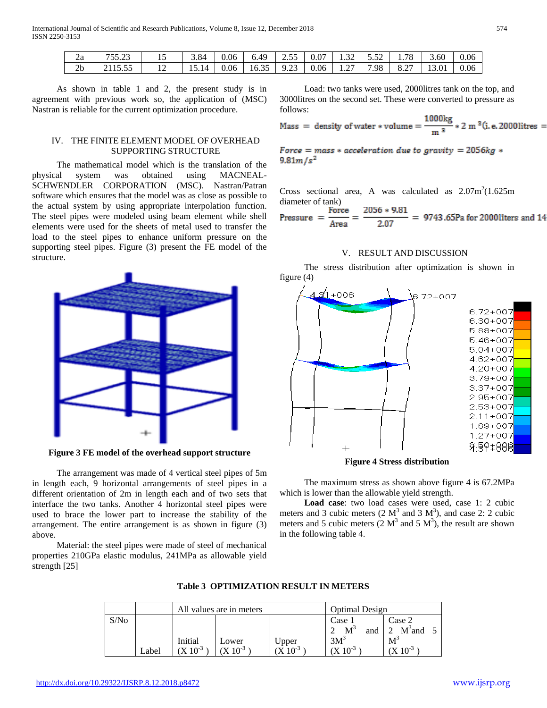| 2a             | 75572<br>.          | <b>L</b> | 3.84             | 0.06 | 6.49  | $ -$<br>.,<br>ن ت | 0.07 | $\mathfrak{D}$<br>ے ب | $  -$<br>.<br>ے ب | 1.78 | 3.60  | 0.06 |
|----------------|---------------------|----------|------------------|------|-------|-------------------|------|-----------------------|-------------------|------|-------|------|
| 2 <sub>b</sub> | 2115.55<br>21 19.99 | ┸        | -14<br>$1.7.1 -$ | 0.06 | 16.35 | 0.23<br>ت که:     | 0.06 | 27<br>.               | 7.98              | 8.27 | 13.01 | 0.06 |

 As shown in table 1 and 2, the present study is in agreement with previous work so, the application of (MSC) Nastran is reliable for the current optimization procedure.

# IV. THE FINITE ELEMENT MODEL OF OVERHEAD SUPPORTING STRUCTURE

 The mathematical model which is the translation of the physical system was obtained using MACNEAL-SCHWENDLER CORPORATION (MSC). Nastran/Patran software which ensures that the model was as close as possible to the actual system by using appropriate interpolation function. The steel pipes were modeled using beam element while shell elements were used for the sheets of metal used to transfer the load to the steel pipes to enhance uniform pressure on the supporting steel pipes. Figure (3) present the FE model of the structure.



**Figure 3 FE model of the overhead support structure**

 The arrangement was made of 4 vertical steel pipes of 5m in length each, 9 horizontal arrangements of steel pipes in a different orientation of 2m in length each and of two sets that interface the two tanks. Another 4 horizontal steel pipes were used to brace the lower part to increase the stability of the arrangement. The entire arrangement is as shown in figure (3) above.

 Material: the steel pipes were made of steel of mechanical properties 210GPa elastic modulus, 241MPa as allowable yield strength [25]

 Load: two tanks were used, 2000litres tank on the top, and 3000litres on the second set. These were converted to pressure as follows:

Mass = density of water \* volume = 
$$
\frac{1000 \text{kg}}{\text{m}^2}
$$
 \* 2 m<sup>2</sup>(i.e. 2000 litres =

Force = mass  $*$  acceleration due to gravity = 2056kg  $*$  $9.81 m/s^2$ 

Cross sectional area, A was calculated as  $2.07 \text{m}^2 (1.625 \text{m})$ diameter of tank)

Pressure = 
$$
\frac{\text{Force}}{\text{Area}} = \frac{2056 \times 9.81}{2.07} = 9743.65\text{Pa}
$$
 for 2000liters and 14

# V. RESULT AND DISCUSSION

 The stress distribution after optimization is shown in figure (4)



**Figure 4 Stress distribution**

 The maximum stress as shown above figure 4 is 67.2MPa which is lower than the allowable yield strength.

 **Load case**: two load cases were used, case 1: 2 cubic meters and 3 cubic meters  $(2 M<sup>3</sup>$  and 3  $M<sup>3</sup>)$ , and case 2: 2 cubic meters and 5 cubic meters  $(2 M^3 \text{ and } 5 M^3)$ , the result are shown in the following table 4.

| <b>Table 3 OPTIMIZATION RESULT IN METERS</b> |  |
|----------------------------------------------|--|
|----------------------------------------------|--|

|      |       |                                    | All values are in meters | <b>Optimal Design</b>   |                                                        |                                                    |  |  |  |
|------|-------|------------------------------------|--------------------------|-------------------------|--------------------------------------------------------|----------------------------------------------------|--|--|--|
| S/No | Label | Initial<br>$\sim$ 10 <sup>-3</sup> | Lower<br>$10^{-3}$       | Upper<br>$(X\ 10^{-3})$ | Case 1<br>$M^3$<br>and<br>3M <sup>3</sup><br>$10^{-3}$ | Case 2<br>$M^3$ and<br>2<br>$M^2$<br>$(X 10^{-3})$ |  |  |  |

# <http://dx.doi.org/10.29322/IJSRP.8.12.2018.p8472> [www.ijsrp.org](http://ijsrp.org/)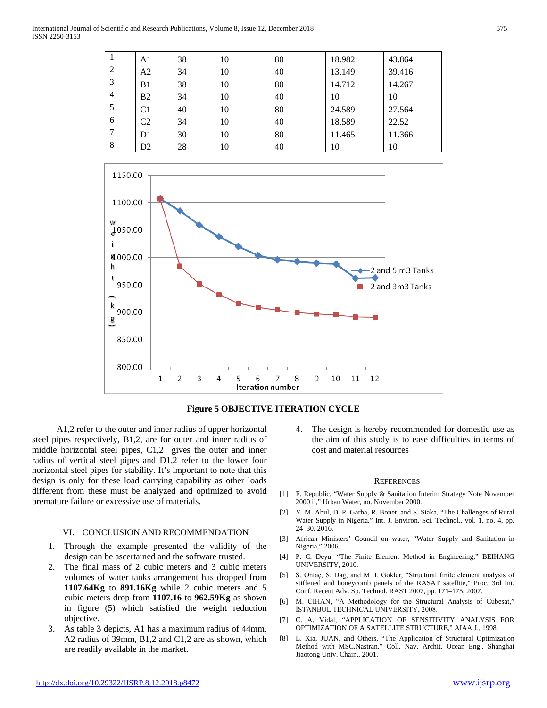#### International Journal of Scientific and Research Publications, Volume 8, Issue 12, December 2018 575 ISSN 2250-3153

| $\bf{I}$       | A1             | 38 | 10 | 80 | 18.982 | 43.864 |
|----------------|----------------|----|----|----|--------|--------|
| $\overline{2}$ | A <sub>2</sub> | 34 | 10 | 40 | 13.149 | 39.416 |
| 3              | B1             | 38 | 10 | 80 | 14.712 | 14.267 |
| $\overline{4}$ | B <sub>2</sub> | 34 | 10 | 40 | 10     | 10     |
| 5              | C <sub>1</sub> | 40 | 10 | 80 | 24.589 | 27.564 |
| 6              | C <sub>2</sub> | 34 | 10 | 40 | 18.589 | 22.52  |
| 7              | D <sub>1</sub> | 30 | 10 | 80 | 11.465 | 11.366 |
| 8              | D <sub>2</sub> | 28 | 10 | 40 | 10     | 10     |



#### **Figure 5 OBJECTIVE ITERATION CYCLE**

 A1,2 refer to the outer and inner radius of upper horizontal steel pipes respectively, B1,2, are for outer and inner radius of middle horizontal steel pipes, C1,2 gives the outer and inner radius of vertical steel pipes and D1,2 refer to the lower four horizontal steel pipes for stability. It's important to note that this design is only for these load carrying capability as other loads different from these must be analyzed and optimized to avoid premature failure or excessive use of materials.

#### VI. CONCLUSION AND RECOMMENDATION

- 1. Through the example presented the validity of the design can be ascertained and the software trusted.
- 2. The final mass of 2 cubic meters and 3 cubic meters volumes of water tanks arrangement has dropped from **1107.64Kg** to **891.16Kg** while 2 cubic meters and 5 cubic meters drop from **1107.16** to **962.59Kg** as shown in figure (5) which satisfied the weight reduction objective.
- 3. As table 3 depicts, A1 has a maximum radius of 44mm, A2 radius of 39mm, B1,2 and C1,2 are as shown, which are readily available in the market.

4. The design is hereby recommended for domestic use as the aim of this study is to ease difficulties in terms of cost and material resources

#### **REFERENCES**

- [1] F. Republic, "Water Supply & Sanitation Interim Strategy Note November 2000 ii," Urban Water, no. November 2000.
- [2] Y. M. Abul, D. P. Garba, R. Bonet, and S. Siaka, "The Challenges of Rural Water Supply in Nigeria," Int. J. Environ. Sci. Technol., vol. 1, no. 4, pp. 24–30, 2016.
- [3] African Ministers' Council on water, "Water Supply and Sanitation in Nigeria," 2006.
- [4] P. C. Deyu, "The Finite Element Method in Engineering," BEIHANG UNIVERSITY, 2010.
- [5] S. Ontaç, S. Daǧ, and M. I. Gökler, "Structural finite element analysis of stiffened and honeycomb panels of the RASAT satellite," Proc. 3rd Int. Conf. Recent Adv. Sp. Technol. RAST 2007, pp. 171–175, 2007.
- [6] M. CİHAN, "A Methodology for the Structural Analysis of Cubesat," İSTANBUL TECHNICAL UNIVERSITY, 2008.
- [7] C. A. Vidal, "APPLICATION OF SENSITIVITY ANALYSIS FOR OPTIMIZATION OF A SATELLITE STRUCTURE," AIAA J., 1998.
- [8] L. Xia, JUAN, and Others, "The Application of Structural Optimization Method with MSC.Nastran," Coll. Nav. Archit. Ocean Eng., Shanghai Jiaotong Univ. Chain., 2001.